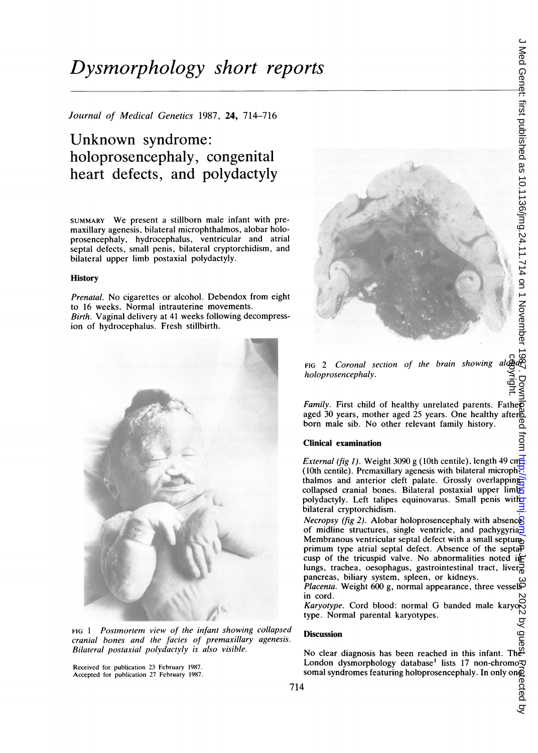# Dysmorphology short reports

Journal of Medical Genetics 1987, 24, 714-716

## Unknown syndrome: holoprosencephaly, congenital heart defects, and polydactyly

SUMMARY We present <sup>a</sup> stillborn male infant with premaxillary agenesis, bilateral microphthalmos, alobar holoprosencephaly, hydrocephalus, ventricular and atrial septal defects, small penis, bilateral cryptorchidism, and bilateral upper limb postaxial polydactyly.

#### **History**

Prenatal. No cigarettes or alcohol. Debendox from eight to 16 weeks. Normal intrauterine movements. Birth. Vaginal delivery at <sup>41</sup> weeks following decompression of hydrocephalus. Fresh stillbirth.



FIG 1 Postmortem view of the infant showing collapsed cranial bones and the facies of premaxillary agenesis.



FIG 2 Coronal section of the brain showing alogue:<br>holoprosencephaly. copyright.

*Family*. First child of healthy unrelated parents. Fathe**r** aged 30 years, mother aged 25 years. One healthy after born male sib. No other relevant family history.

#### Clinical examination

External (fig 1). Weight 3090 g (10th centile), length 49 cm (10th centile). Premaxillary agenesis with bilateral microphthalmos and anterior cleft palate. Grossly overlapping collapsed cranial bones. Bilateral postaxial upper limb polydactyly. Left talipes equinovarus. Small penis with bilateral cryptorchidism.

*Necropsy (fig 2).* Alobar holoprosencephaly with absence of midline structures, single ventricle, and pachygyria $\overline{3}$ Membranous ventricular septal defect with <sup>a</sup> small septum primum type atrial septal defect. Absence of the septal cusp of the tricuspid valve. No abnormalities noted  $i\frac{F}{E}$ *Necropsy (fig 2).* Alobar holoprosencephaly with absence of midline structures, single ventricle, and pachygyria-<br>Membranous ventricular septal defect with a small septum<br>primum type atrial septal defect. Absence of the pancreas, biliary system, spleen, or kidneys.

Placenta. Weight 600 g, normal appearance, three vessels<br>in cord.

in cord.<br>Karyotype. Cord blood: normal G banded male karyor type. Normal parental karyotypes.

Bilateral postaxial polydactyly is also visible. No clear diagnosis has been reached in this infant. The Received for publication 23 February 1987.<br>Accepted for publication 27 February 1987. Somal syndromes featuring holoprosencephaly. In only one